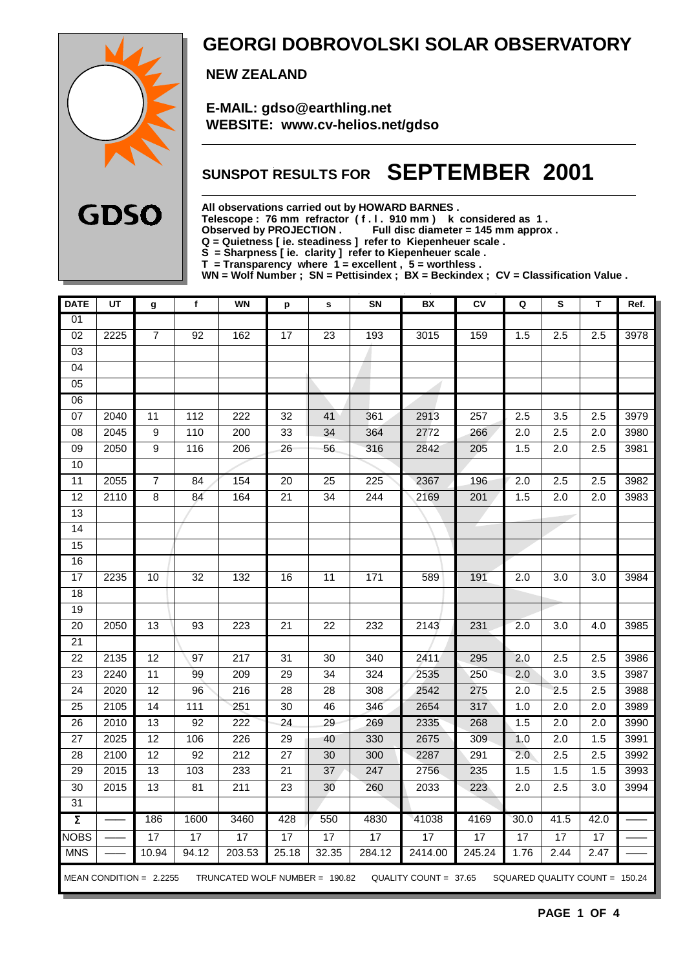

## **GEORGI DOBROVOLSKI SOLAR OBSERVATORY**

 **NEW ZEALAND**

 **E-MAIL: gdso@earthling.net WEBSITE: www.cv-helios.net/gdso**

## **SUNSPOT RESULTS FOR SEPTEMBER 2001**

**All observations carried out by HOWARD BARNES .**

**Telescope : 76 mm refractor ( f . l . 910 mm ) k considered as 1 .**

Observed by PROJECTION . Full disc diameter = 145 mm approx .

**Q = Quietness [ ie. steadiness ] refer to Kiepenheuer scale .**

**S = Sharpness [ ie. clarity ] refer to Kiepenheuer scale .**

**T = Transparency where 1 = excellent , 5 = worthless .**

**WN = Wolf Number ; SN = Pettisindex ; BX = Beckindex ; CV = Classification Value .**

| <b>DATE</b>         | UT   | g                         | $\mathbf f$     | WN                             | p               | s               | SN               | BX                    | CV     | Q                | S                              | T                | Ref. |
|---------------------|------|---------------------------|-----------------|--------------------------------|-----------------|-----------------|------------------|-----------------------|--------|------------------|--------------------------------|------------------|------|
| 01                  |      |                           |                 |                                |                 |                 |                  |                       |        |                  |                                |                  |      |
| 02                  | 2225 | $\overline{7}$            | 92              | 162                            | 17              | 23              | 193              | 3015                  | 159    | 1.5              | 2.5                            | 2.5              | 3978 |
| 03                  |      |                           |                 |                                |                 |                 |                  |                       |        |                  |                                |                  |      |
| 04                  |      |                           |                 |                                |                 |                 |                  |                       |        |                  |                                |                  |      |
| 05                  |      |                           |                 |                                |                 |                 |                  |                       |        |                  |                                |                  |      |
| 06                  |      |                           |                 |                                |                 |                 |                  |                       |        |                  |                                |                  |      |
| 07                  | 2040 | 11                        | 112             | 222                            | 32              | 41              | 361              | 2913                  | 257    | 2.5              | 3.5                            | 2.5              | 3979 |
| 08                  | 2045 | $\boldsymbol{9}$          | 110             | 200                            | 33              | 34              | 364              | 2772                  | 266    | 2.0              | $\overline{2.5}$               | $\overline{2.0}$ | 3980 |
| $\overline{09}$     | 2050 | $\overline{9}$            | 116             | 206                            | $\overline{26}$ | $\overline{56}$ | 316              | 2842                  | 205    | 1.5              | 2.0                            | 2.5              | 3981 |
| 10                  |      |                           |                 |                                |                 |                 |                  |                       |        |                  |                                |                  |      |
| $\overline{11}$     | 2055 | $\overline{7}$            | $\overline{84}$ | 154                            | $\overline{20}$ | $\overline{25}$ | $\overline{225}$ | 2367                  | 196    | $\overline{2.0}$ | $\overline{2.5}$               | 2.5              | 3982 |
| $\overline{12}$     | 2110 | 8                         | 84              | 164                            | $\overline{21}$ | $\overline{34}$ | 244              | 2169                  | 201    | 1.5              | 2.0                            | $\overline{2.0}$ | 3983 |
| $\overline{13}$     |      |                           |                 |                                |                 |                 |                  |                       |        |                  |                                |                  |      |
| 14                  |      |                           |                 |                                |                 |                 |                  |                       |        |                  |                                |                  |      |
| 15                  |      |                           |                 |                                |                 |                 |                  |                       |        |                  |                                |                  |      |
| 16                  |      |                           |                 |                                |                 |                 |                  |                       |        |                  |                                |                  |      |
| 17                  | 2235 | 10                        | 32              | 132                            | 16              | 11              | 171              | 589                   | 191    | 2.0              | 3.0                            | 3.0              | 3984 |
| 18                  |      |                           |                 |                                |                 |                 |                  |                       |        |                  |                                |                  |      |
| 19                  |      |                           |                 |                                |                 |                 |                  |                       |        |                  |                                |                  |      |
| 20                  | 2050 | 13                        | 93              | $\overline{223}$               | 21              | 22              | 232              | 2143                  | 231    | 2.0              | 3.0                            | 4.0              | 3985 |
| 21                  |      |                           |                 |                                |                 |                 |                  |                       |        |                  |                                |                  |      |
| 22                  | 2135 | 12                        | 97              | 217                            | 31              | 30              | 340              | 2411                  | 295    | 2.0              | 2.5                            | 2.5              | 3986 |
| $\overline{23}$     | 2240 | $\overline{11}$           | 99              | 209                            | 29              | $\overline{34}$ | 324              | 2535                  | 250    | $\overline{2.0}$ | $\overline{3.0}$               | $\overline{3.5}$ | 3987 |
| $\overline{24}$     | 2020 | $\overline{12}$           | $\overline{96}$ | $\overline{216}$               | $\overline{28}$ | $\overline{28}$ | 308              | 2542                  | 275    | $\overline{2.0}$ | 2.5                            | 2.5              | 3988 |
| 25                  | 2105 | 14                        | 111             | 251                            | 30              | 46              | 346              | 2654                  | 317    | 1.0              | 2.0                            | 2.0              | 3989 |
| $\overline{26}$     | 2010 | $\overline{13}$           | $\overline{92}$ | $\overline{222}$               | $\overline{24}$ | 29              | 269              | 2335                  | 268    | 1.5              | $\overline{2.0}$               | $\overline{2.0}$ | 3990 |
| $\overline{27}$     | 2025 | $\overline{12}$           | 106             | 226                            | $\overline{29}$ | 40              | 330              | 2675                  | 309    | 1.0              | $\overline{2.0}$               | 1.5              | 3991 |
| 28                  | 2100 | 12                        | $\overline{92}$ | $\overline{212}$               | $\overline{27}$ | 30              | 300              | 2287                  | 291    | 2.0              | $\overline{2.5}$               | 2.5              | 3992 |
| $\overline{29}$     | 2015 | $\overline{13}$           | 103             | 233                            | $\overline{21}$ | $\overline{37}$ | 247              | 2756                  | 235    | 1.5              | 1.5                            | 1.5              | 3993 |
| $\overline{30}$     | 2015 | $\overline{13}$           | 81              | 211                            | $\overline{23}$ | 30              | 260              | 2033                  | 223    | $\overline{2.0}$ | 2.5                            | $\overline{3.0}$ | 3994 |
| 31                  |      |                           |                 |                                |                 |                 |                  |                       |        |                  |                                |                  |      |
| $\overline{\Sigma}$ |      | 186                       | 1600            | 3460                           | 428             | 550             | 4830             | 41038                 | 4169   | 30.0             | 41.5                           | 42.0             |      |
| <b>NOBS</b>         |      | 17                        | 17              | 17                             | 17              | 17              | 17               | 17                    | 17     | 17               | 17                             | 17               |      |
| <b>MNS</b>          |      | 10.94                     | 94.12           | 203.53                         | 25.18           | 32.35           | 284.12           | 2414.00               | 245.24 | 1.76             | 2.44                           | 2.47             |      |
|                     |      | MEAN CONDITION = $2.2255$ |                 | TRUNCATED WOLF NUMBER = 190.82 |                 |                 |                  | QUALITY COUNT = 37.65 |        |                  | SQUARED QUALITY COUNT = 150.24 |                  |      |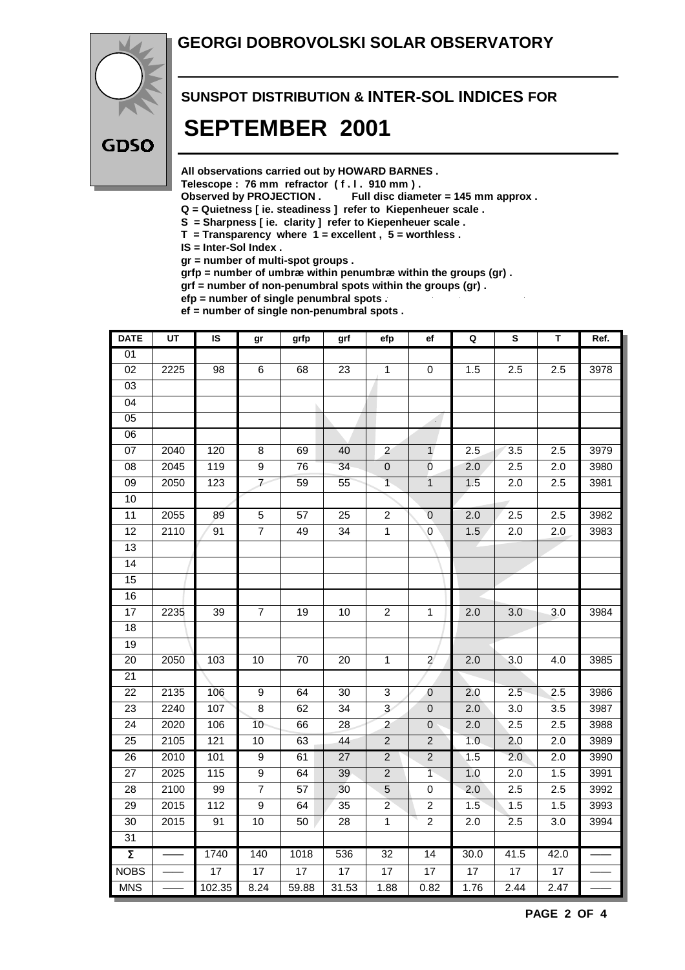#### **GEORGI DOBROVOLSKI SOLAR OBSERVATORY**



## **SUNSPOT DISTRIBUTION & INTER-SOL INDICES FOR SEPTEMBER 2001**

**All observations carried out by HOWARD BARNES .**

Telescope : 76 mm refractor (f. l. 910 mm).<br>Observed by PROJECTION . Full disc diam

Full disc diameter = 145 mm approx .

- **Q = Quietness [ ie. steadiness ] refer to Kiepenheuer scale .**
- **S = Sharpness [ ie. clarity ] refer to Kiepenheuer scale .**
- **T = Transparency where 1 = excellent , 5 = worthless .**
- **IS = Inter-Sol Index .**

**gr = number of multi-spot groups .**

**grfp = number of umbræ within penumbræ within the groups (gr) .**

**grf = number of non-penumbral spots within the groups (gr) .**

**efp = number of single penumbral spots .**

**ef = number of single non-penumbral spots .**

| <b>DATE</b>         | $\overline{UT}$ | $\overline{\mathsf{s}}$ | gr               | grfp            | grf             | efp                       | ef               | Q    | $\overline{\mathbf{s}}$ | T                | Ref. |
|---------------------|-----------------|-------------------------|------------------|-----------------|-----------------|---------------------------|------------------|------|-------------------------|------------------|------|
| 01                  |                 |                         |                  |                 |                 |                           |                  |      |                         |                  |      |
| $\overline{02}$     | 2225            | 98                      | $\,6$            | 68              | 23              | $\mathbf 1$               | 0                | 1.5  | 2.5                     | 2.5              | 3978 |
| $\overline{03}$     |                 |                         |                  |                 |                 |                           |                  |      |                         |                  |      |
| 04                  |                 |                         |                  |                 |                 |                           |                  |      |                         |                  |      |
| 05                  |                 |                         |                  |                 |                 |                           |                  |      |                         |                  |      |
| $06\,$              |                 |                         |                  |                 |                 |                           |                  |      |                         |                  |      |
| 07                  | 2040            | 120                     | 8                | 69              | 40              | $\overline{2}$            | $\mathbf{1}$     | 2.5  | $\overline{3.5}$        | 2.5              | 3979 |
| 08                  | 2045            | 119                     | $\overline{9}$   | 76              | $\overline{34}$ | $\overline{0}$            | $\pmb{0}$        | 2.0  | 2.5                     | 2.0              | 3980 |
| $\overline{09}$     | 2050            | 123                     | $\overline{7}$   | 59              | 55              | $\overline{1}$            | $\mathbf{1}$     | 1.5  | 2.0                     | 2.5              | 3981 |
| 10                  |                 |                         |                  |                 |                 |                           |                  |      |                         |                  |      |
| $\overline{11}$     | 2055            | 89                      | $\overline{5}$   | $\overline{57}$ | $\overline{25}$ | $\overline{2}$            | $\overline{0}$   | 2.0  | 2.5                     | 2.5              | 3982 |
| 12                  | 2110            | 91                      | $\overline{7}$   | 49              | 34              | $\overline{1}$            | $\overline{0}$   | 1.5  | $\overline{2.0}$        | $\overline{2.0}$ | 3983 |
| $\overline{13}$     |                 |                         |                  |                 |                 |                           |                  |      |                         |                  |      |
| 14                  |                 |                         |                  |                 |                 |                           |                  |      |                         |                  |      |
| $\overline{15}$     |                 |                         |                  |                 |                 |                           |                  |      |                         |                  |      |
| 16                  |                 |                         |                  |                 |                 |                           |                  |      |                         |                  |      |
| 17                  | 2235            | 39                      | $\overline{7}$   | 19              | 10              | $\overline{c}$            | 1                | 2.0  | 3.0                     | 3.0              | 3984 |
| 18                  |                 |                         |                  |                 |                 |                           |                  |      |                         |                  |      |
| $\overline{19}$     |                 |                         |                  |                 |                 |                           |                  |      |                         |                  |      |
| 20                  | 2050            | 103                     | 10               | 70              | 20              | $\mathbf{1}$              | $\overline{2}$   | 2.0  | 3.0                     | 4.0              | 3985 |
| $\overline{21}$     |                 |                         |                  |                 |                 |                           |                  |      |                         |                  |      |
| 22                  | 2135            | 106                     | 9                | 64              | 30              | $\ensuremath{\mathsf{3}}$ | $\bf{0}$         | 2.0  | 2.5                     | 2.5              | 3986 |
| 23                  | 2240            | 107                     | 8                | 62              | 34              | $\overline{\mathbf{3}}$   | $\mathbf 0$      | 2.0  | 3.0                     | 3.5              | 3987 |
| $\overline{24}$     | 2020            | 106                     | 10               | 66              | $\overline{28}$ | $\overline{c}$            | $\pmb{0}$        | 2.0  | 2.5                     | 2.5              | 3988 |
| 25                  | 2105            | 121                     | 10               | 63              | 44              | $\overline{2}$            | $\overline{2}$   | 1.0  | 2.0                     | 2.0              | 3989 |
| 26                  | 2010            | 101                     | 9                | 61              | 27              | $\sqrt{2}$                | $\sqrt{2}$       | 1.5  | $\overline{2.0}$        | 2.0              | 3990 |
| 27                  | 2025            | 115                     | $\overline{9}$   | 64              | 39              | $\overline{2}$            | $\overline{1}$   | 1.0  | 2.0                     | 1.5              | 3991 |
| 28                  | 2100            | 99                      | $\boldsymbol{7}$ | 57              | 30              | $\sqrt{5}$                | 0                | 2.0  | 2.5                     | 2.5              | 3992 |
| 29                  | 2015            | 112                     | $\overline{9}$   | 64              | 35              | $\overline{2}$            | $\boldsymbol{2}$ | 1.5  | 1.5                     | 1.5              | 3993 |
| $\overline{30}$     | 2015            | 91                      | 10               | 50              | $\overline{28}$ | $\overline{1}$            | $\overline{2}$   | 2.0  | 2.5                     | 3.0              | 3994 |
| 31                  |                 |                         |                  |                 |                 |                           |                  |      |                         |                  |      |
| $\overline{\Sigma}$ |                 | 1740                    | 140              | 1018            | 536             | 32                        | $\overline{14}$  | 30.0 | 41.5                    | 42.0             |      |
| <b>NOBS</b>         |                 | 17                      | 17               | 17              | 17              | 17                        | 17               | 17   | 17                      | $\overline{17}$  |      |
| <b>MNS</b>          |                 | 102.35                  | 8.24             | 59.88           | 31.53           | 1.88                      | 0.82             | 1.76 | 2.44                    | 2.47             |      |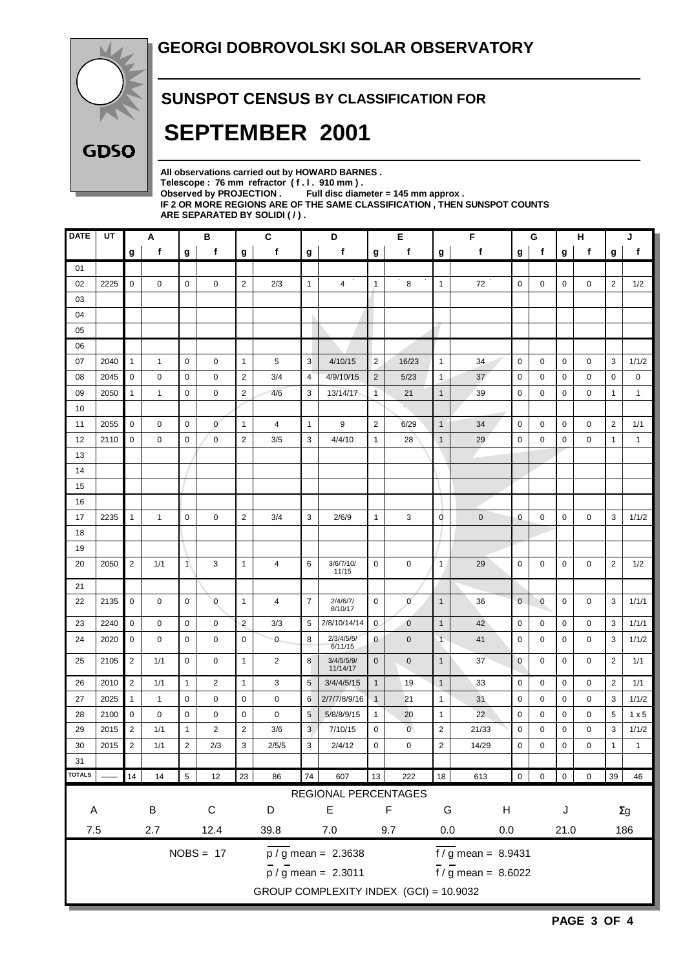



#### **SUNSPOT CENSUS BY CLASSIFICATION FOR**

## **SEPTEMBER 2001**

**All observations carried out by HOWARD BARNES .** Telescope : 76 mm refractor (f. l. 910 mm).<br>Observed by PROJECTION . Full disc diam Full disc diameter = 145 mm approx . **IF 2 OR MORE REGIONS ARE OF THE SAME CLASSIFICATION , THEN SUNSPOT COUNTS ARE SEPARATED BY SOLIDI ( / ) .**

| <b>DATE</b>                | UT                                     |                | Α            |                | в              |                | C              |                | D                                         |                | Е              |                | F<br>G<br>н                        |              |             |             |             | J              |              |
|----------------------------|----------------------------------------|----------------|--------------|----------------|----------------|----------------|----------------|----------------|-------------------------------------------|----------------|----------------|----------------|------------------------------------|--------------|-------------|-------------|-------------|----------------|--------------|
|                            |                                        | g              | f            | g              | f              | g              | f              | g              | f                                         | g              | f              | g              | f                                  | g            | f           | g           | f           | g              | f            |
| 01                         |                                        |                |              |                |                |                |                |                |                                           |                |                |                |                                    |              |             |             |             |                |              |
| 02                         | 2225                                   | $\mathbf 0$    | 0            | $\mathbf 0$    | 0              | $\overline{2}$ | 2/3            | $\overline{1}$ | 4                                         | $\mathbf{1}$   | 8              | 1              | 72                                 | 0            | 0           | 0           | 0           | $\overline{2}$ | 1/2          |
| 03                         |                                        |                |              |                |                |                |                |                |                                           |                |                |                |                                    |              |             |             |             |                |              |
| 04                         |                                        |                |              |                |                |                |                |                |                                           |                |                |                |                                    |              |             |             |             |                |              |
| 05                         |                                        |                |              |                |                |                |                |                |                                           |                |                |                |                                    |              |             |             |             |                |              |
| 06                         |                                        |                |              |                |                |                |                |                |                                           |                |                |                |                                    |              |             |             |             |                |              |
| 07                         | 2040                                   | $\mathbf{1}$   | 1            | $\mathbf 0$    | 0              | $\mathbf{1}$   | 5              | $\sqrt{3}$     | 4/10/15                                   | $\overline{2}$ | 16/23          | 1              | 34                                 | $\mathbf 0$  | 0           | 0           | $\mathbf 0$ | 3              | 1/1/2        |
| 08                         | 2045                                   | $\mathbf 0$    | 0            | 0              | 0              | $\overline{2}$ | 3/4            | 4              | 4/9/10/15                                 | 2              | 5/23           | 1              | 37                                 | 0            | 0           | 0           | 0           | 0              | 0            |
| 09                         | 2050                                   | $\mathbf{1}$   | 1            | 0              | 0              | $\overline{2}$ | 4/6            | 3              | 13/14/17                                  | $\mathbf{1}$   | 21             | $\mathbf{1}$   | 39                                 | 0            | 0           | 0           | 0           | $\mathbf{1}$   | $\mathbf{1}$ |
| 10                         |                                        |                |              |                |                |                |                |                |                                           |                |                |                |                                    |              |             |             |             |                |              |
| 11                         | 2055                                   | $\mathbf 0$    | 0            | $\mathbf 0$    | $\mathbf{0}$   | $\mathbf{1}$   | 4              | $\overline{1}$ | 9                                         | $\overline{2}$ | 6/29           | $\mathbf{1}$   | 34                                 | 0            | 0           | 0           | 0           | 2              | 1/1          |
| 12                         | 2110                                   | 0              | 0            | 0              | 0              | 2              | 3/5            | 3              | 4/4/10                                    | 1              | 28             | $\mathbf{1}$   | 29                                 | 0            | 0           | 0           | 0           | 1              | 1            |
| 13                         |                                        |                |              |                |                |                |                |                |                                           |                |                |                |                                    |              |             |             |             |                |              |
| 14                         |                                        |                |              |                |                |                |                |                |                                           |                |                |                |                                    |              |             |             |             |                |              |
| 15                         |                                        |                |              |                |                |                |                |                |                                           |                |                |                |                                    |              |             |             |             |                |              |
| 16                         |                                        |                |              |                |                |                |                |                |                                           |                |                |                |                                    |              |             |             |             |                |              |
| 17                         | 2235                                   | $\mathbf{1}$   | 1            | 0              | 0              | 2              | 3/4            | 3              | 2/6/9                                     | $\mathbf{1}$   | 3              | 0              | $\mathbf 0$                        | 0            | 0           | 0           | 0           | 3              | 1/1/2        |
| 18<br>19                   |                                        |                |              |                |                |                |                |                |                                           |                |                |                |                                    |              |             |             |             |                |              |
| 20                         | 2050                                   | $\overline{2}$ | 1/1          | $\mathbf{1}$   | 3              | $\mathbf{1}$   | 4              | 6              | 3/6/7/10/                                 | 0              | 0              | 1              | 29                                 | 0            | 0           | 0           | 0           | $\overline{2}$ | 1/2          |
|                            |                                        |                |              |                |                |                |                |                | 11/15                                     |                |                |                |                                    |              |             |             |             |                |              |
| 21                         |                                        |                |              |                |                |                |                |                |                                           |                |                |                |                                    |              |             |             |             |                |              |
| 22                         | 2135                                   | $\mathbf 0$    | 0            | 0              | $\mathbf{0}$   | $\mathbf{1}$   | 4              | $\overline{7}$ | 2/4/6/7/<br>8/10/17                       | $\mathbf 0$    | $\mathbf{0}$   | $\mathbf{1}$   | 36                                 | $\mathbf{0}$ | $\mathbf 0$ | 0           | 0           | 3              | 1/1/1        |
| 23                         | 2240                                   | $\mathbf 0$    | 0            | $\mathbf 0$    | 0              | $\overline{2}$ | 3/3            | 5              | 2/8/10/14/14                              | 0              | $\overline{0}$ | $\mathbf{1}$   | 42                                 | $\mathbf 0$  | 0           | 0           | 0           | 3              | 1/1/1        |
| 24                         | 2020                                   | $\mathbf 0$    | 0            | $\mathbf 0$    | 0              | $\mathbf 0$    | $\overline{0}$ | 8              | 2/3/4/5/5/<br>6/11/15                     | $\mathbf{0}$   | $\mathbf{0}$   | $\mathbf{1}$   | 41                                 | $\mathbf 0$  | 0           | 0           | 0           | 3              | 1/1/2        |
| 25                         | 2105                                   | $\overline{2}$ | 1/1          | 0              | 0              | $\mathbf{1}$   | 2              | 8              | 3/4/5/5/9/<br>11/14/17                    | $\mathbf 0$    | $\mathbf 0$    | $\mathbf{1}$   | 37                                 | $\mathbf{0}$ | 0           | 0           | 0           | $\overline{2}$ | 1/1          |
| 26                         | 2010                                   | $\overline{2}$ | 1/1          | $\mathbf{1}$   | $\overline{2}$ | $\mathbf{1}$   | 3              | 5              | 3/4/4/5/15                                | $\mathbf{1}$   | 19             | 1              | 33                                 | $\mathbf 0$  | 0           | 0           | 0           | $\overline{2}$ | 1/1          |
| 27                         | 2025                                   | $\mathbf{1}$   | $\mathbf{1}$ | 0              | 0              | $\mathbf 0$    | 0              | 6              | 2/7/7/8/9/16                              | $\overline{1}$ | 21             | 1              | 31                                 | 0            | 0           | 0           | 0           | 3              | 1/1/2        |
| 28                         | 2100                                   | $\mathbf 0$    | 0            | 0              | 0              | $\mathbf 0$    | 0              | 5              | 5/8/8/9/15                                | 1              | 20             | 1              | 22                                 | 0            | 0           | 0           | 0           | 5              | 1 x 5        |
| 29                         | 2015                                   | $\overline{2}$ | 1/1          | 1              | 2              | $\overline{2}$ | 3/6            | 3              | 7/10/15                                   | 0              | $\overline{0}$ | 2              | 21/33                              | 0            | 0           | 0           | 0           | 3              | 1/1/2        |
| 30                         | 2015                                   | $\overline{2}$ | 1/1          | $\overline{2}$ | 2/3            | 3              | 2/5/5          | 3              | 2/4/12                                    | 0              | 0              | $\overline{2}$ | 14/29                              | 0            | 0           | $\Omega$    | 0           | $\mathbf{1}$   | $\mathbf{1}$ |
| 31                         |                                        |                |              |                |                |                |                |                |                                           |                |                |                |                                    |              |             |             |             |                |              |
| <b>TOTALS</b>              |                                        | 14             | 14           | $\sqrt{5}$     | 12             | $23\,$         | 86             | $74\,$         | 607                                       | $13\,$         | 222            | $18\,$         | 613                                | $\mathsf{O}$ | $\pmb{0}$   | 0           | 0           | 39             | 46           |
|                            |                                        |                |              |                |                |                |                |                | REGIONAL PERCENTAGES                      |                |                |                |                                    |              |             |             |             |                |              |
| $\mathsf{A}$               |                                        |                | $\sf B$      |                | $\mathsf C$    |                | D              |                | $\mathsf E$                               |                | $\mathsf F$    | G              | $\boldsymbol{\mathsf{H}}$          |              |             | $\mathsf J$ |             |                | $\Sigma g$   |
| 7.5<br>12.4<br>39.8<br>2.7 |                                        |                |              | $7.0\,$<br>9.7 |                |                |                | 0.0<br>$0.0\,$ |                                           |                |                | 21.0           |                                    |              | 186         |             |             |                |              |
|                            |                                        |                |              |                | $NOBS = 17$    |                |                |                | $\overline{p}/\overline{g}$ mean = 2.3638 |                |                |                | $\frac{1}{\sqrt{9}}$ mean = 8.9431 |              |             |             |             |                |              |
|                            |                                        |                |              |                |                |                |                |                | $\frac{1}{p}$ / g mean = 2.3011           |                |                |                | $\frac{1}{\pi}$ / g mean = 8.6022  |              |             |             |             |                |              |
|                            | GROUP COMPLEXITY INDEX (GCI) = 10.9032 |                |              |                |                |                |                |                |                                           |                |                |                |                                    |              |             |             |             |                |              |
|                            |                                        |                |              |                |                |                |                |                |                                           |                |                |                |                                    |              |             |             |             |                |              |